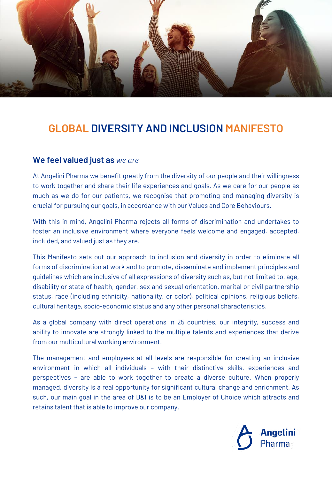

## **GLOBAL DIVERSITY AND INCLUSION MANIFESTO**

## **We feel valued just as** *we are*

At Angelini Pharma we benefit greatly from the diversity of our people and their willingness to work together and share their life experiences and goals. As we care for our people as much as we do for our patients, we recognise that promoting and managing diversity is crucial for pursuing our goals, in accordance with our Values and Core Behaviours.

With this in mind, Angelini Pharma rejects all forms of discrimination and undertakes to foster an inclusive environment where everyone feels welcome and engaged, accepted, included, and valued just as they are.

This Manifesto sets out our approach to inclusion and diversity in order to eliminate all forms of discrimination at work and to promote, disseminate and implement principles and guidelines which are inclusive of all expressions of diversity such as, but not limited to, age, disability or state of health, gender, sex and sexual orientation, marital or civil partnership status, race (including ethnicity, nationality, or color), political opinions, religious beliefs, cultural heritage, socio-economic status and any other personal characteristics.

As a global company with direct operations in 25 countries, our integrity, success and ability to innovate are strongly linked to the multiple talents and experiences that derive from our multicultural working environment.

The management and employees at all levels are responsible for creating an inclusive environment in which all individuals – with their distinctive skills, experiences and perspectives – are able to work together to create a diverse culture. When properly managed, diversity is a real opportunity for significant cultural change and enrichment. As such, our main goal in the area of D&I is to be an Employer of Choice which attracts and retains talent that is able to improve our company.